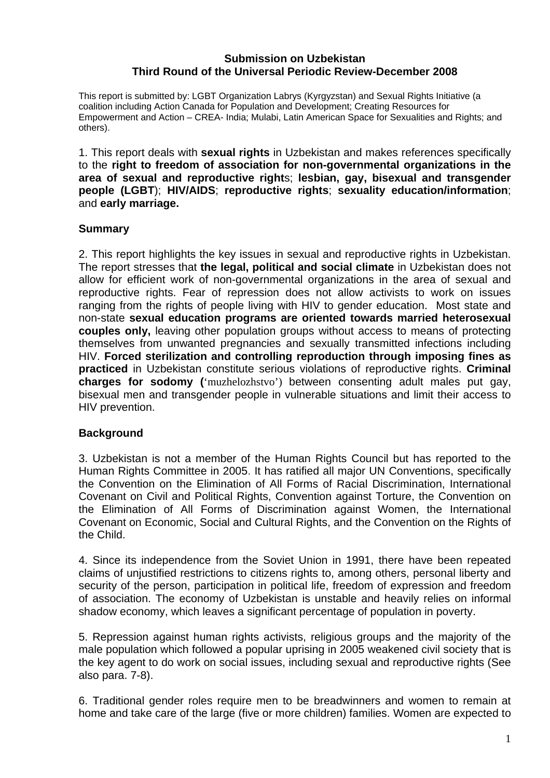#### **Submission on Uzbekistan Third Round of the Universal Periodic Review-December 2008**

This report is submitted by: LGBT Organization Labrys (Kyrgyzstan) and Sexual Rights Initiative (a coalition including Action Canada for Population and Development; Creating Resources for Empowerment and Action – CREA- India; Mulabi, Latin American Space for Sexualities and Rights; and others).

1. This report deals with **sexual rights** in Uzbekistan and makes references specifically to the **right to freedom of association for non-governmental organizations in the area of sexual and reproductive right**s; **lesbian, gay, bisexual and transgender people (LGBT**); **HIV/AIDS**; **reproductive rights**; **sexuality education/information**; and **early marriage.**

# **Summary**

2. This report highlights the key issues in sexual and reproductive rights in Uzbekistan. The report stresses that **the legal, political and social climate** in Uzbekistan does not allow for efficient work of non-governmental organizations in the area of sexual and reproductive rights. Fear of repression does not allow activists to work on issues ranging from the rights of people living with HIV to gender education. Most state and non-state **sexual education programs are oriented towards married heterosexual couples only,** leaving other population groups without access to means of protecting themselves from unwanted pregnancies and sexually transmitted infections including HIV. **Forced sterilization and controlling reproduction through imposing fines as practiced** in Uzbekistan constitute serious violations of reproductive rights. **Criminal charges for sodomy (**'muzhelozhstvo') between consenting adult males put gay, bisexual men and transgender people in vulnerable situations and limit their access to HIV prevention.

# **Background**

3. Uzbekistan is not a member of the Human Rights Council but has reported to the Human Rights Committee in 2005. It has ratified all major UN Conventions, specifically the Convention on the Elimination of All Forms of Racial Discrimination, International Covenant on Civil and Political Rights, Convention against Torture, the Convention on the Elimination of All Forms of Discrimination against Women, the International Covenant on Economic, Social and Cultural Rights, and the Convention on the Rights of the Child.

4. Since its independence from the Soviet Union in 1991, there have been repeated claims of unjustified restrictions to citizens rights to, among others, personal liberty and security of the person, participation in political life, freedom of expression and freedom of association. The economy of Uzbekistan is unstable and heavily relies on informal shadow economy, which leaves a significant percentage of population in poverty.

5. Repression against human rights activists, religious groups and the majority of the male population which followed a popular uprising in 2005 weakened civil society that is the key agent to do work on social issues, including sexual and reproductive rights (See also para. 7-8).

6. Traditional gender roles require men to be breadwinners and women to remain at home and take care of the large (five or more children) families. Women are expected to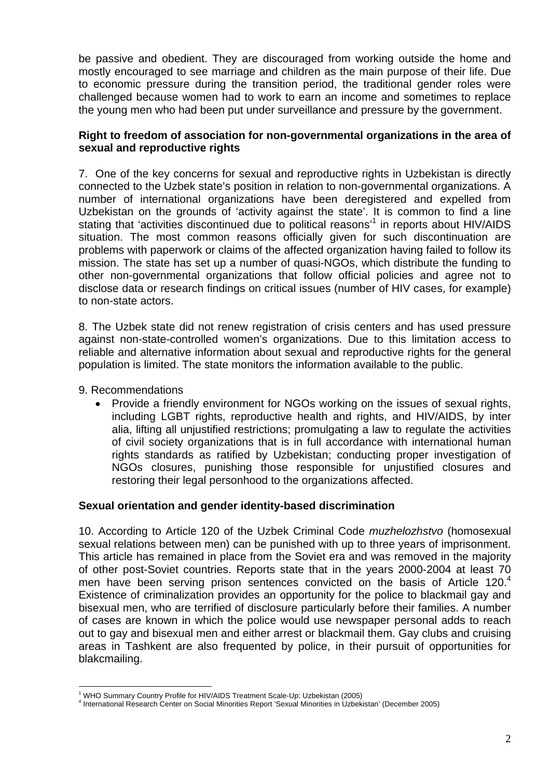be passive and obedient. They are discouraged from working outside the home and mostly encouraged to see marriage and children as the main purpose of their life. Due to economic pressure during the transition period, the traditional gender roles were challenged because women had to work to earn an income and sometimes to replace the young men who had been put under surveillance and pressure by the government.

### **Right to freedom of association for non-governmental organizations in the area of sexual and reproductive rights**

7. One of the key concerns for sexual and reproductive rights in Uzbekistan is directly connected to the Uzbek state's position in relation to non-governmental organizations. A number of international organizations have been deregistered and expelled from Uzbekistan on the grounds of 'activity against the state'. It is common to find a line stating that 'activities discontinued due to political reasons'<sup>1</sup> in reports about HIV/AIDS situation. The most common reasons officially given for such discontinuation are problems with paperwork or claims of the affected organization having failed to follow its mission. The state has set up a number of quasi-NGOs, which distribute the funding to other non-governmental organizations that follow official policies and agree not to disclose data or research findings on critical issues (number of HIV cases, for example) to non-state actors.

8. The Uzbek state did not renew registration of crisis centers and has used pressure against non-state-controlled women's organizations. Due to this limitation access to reliable and alternative information about sexual and reproductive rights for the general population is limited. The state monitors the information available to the public.

9. Recommendations

• Provide a friendly environment for NGOs working on the issues of sexual rights, including LGBT rights, reproductive health and rights, and HIV/AIDS, by inter alia, lifting all unjustified restrictions; promulgating a law to regulate the activities of civil society organizations that is in full accordance with international human rights standards as ratified by Uzbekistan; conducting proper investigation of NGOs closures, punishing those responsible for unjustified closures and restoring their legal personhood to the organizations affected.

### **Sexual orientation and gender identity-based discrimination**

10. According to Article 120 of the Uzbek Criminal Code *muzhelozhstvo* (homosexual sexual relations between men) can be punished with up to three years of imprisonment. This article has remained in place from the Soviet era and was removed in the majority of other post-Soviet countries. Reports state that in the years 2000-2004 at least 70 men have been serving prison sentences convicted on the basis of Article 120. $4$ Existence of criminalization provides an opportunity for the police to blackmail gay and bisexual men, who are terrified of disclosure particularly before their families. A number of cases are known in which the police would use newspaper personal adds to reach out to gay and bisexual men and either arrest or blackmail them. Gay clubs and cruising areas in Tashkent are also frequented by police, in their pursuit of opportunities for blakcmailing.

 $\overline{a}$ <sup>1</sup> WHO Summary Country Profile for HIV/AIDS Treatment Scale-Up: Uzbekistan (2005)

<sup>4</sup> International Research Center on Social Minorities Report 'Sexual Minorities in Uzbekistan' (December 2005)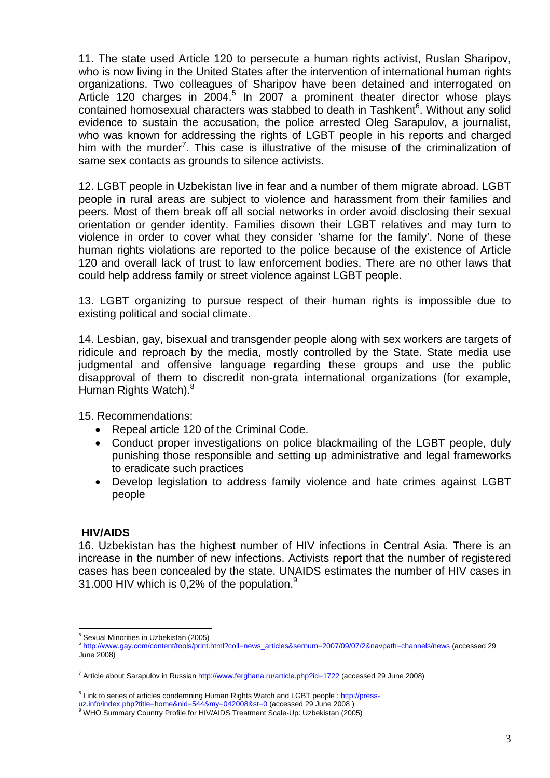11. The state used Article 120 to persecute a human rights activist, Ruslan Sharipov, who is now living in the United States after the intervention of international human rights organizations. Two colleagues of Sharipov have been detained and interrogated on Article 120 charges in 2004.<sup>5</sup> In 2007 a prominent theater director whose plays contained homosexual characters was stabbed to death in Tashkent<sup>6</sup>. Without any solid evidence to sustain the accusation, the police arrested Oleg Sarapulov, a journalist, who was known for addressing the rights of LGBT people in his reports and charged him with the murder<sup>7</sup>. This case is illustrative of the misuse of the criminalization of same sex contacts as grounds to silence activists.

12. LGBT people in Uzbekistan live in fear and a number of them migrate abroad. LGBT people in rural areas are subject to violence and harassment from their families and peers. Most of them break off all social networks in order avoid disclosing their sexual orientation or gender identity. Families disown their LGBT relatives and may turn to violence in order to cover what they consider 'shame for the family'. None of these human rights violations are reported to the police because of the existence of Article 120 and overall lack of trust to law enforcement bodies. There are no other laws that could help address family or street violence against LGBT people.

13. LGBT organizing to pursue respect of their human rights is impossible due to existing political and social climate.

14. Lesbian, gay, bisexual and transgender people along with sex workers are targets of ridicule and reproach by the media, mostly controlled by the State. State media use judgmental and offensive language regarding these groups and use the public disapproval of them to discredit non-grata international organizations (for example, Human Rights Watch).<sup>8</sup>

15. Recommendations:

- Repeal article 120 of the Criminal Code.
- Conduct proper investigations on police blackmailing of the LGBT people, duly punishing those responsible and setting up administrative and legal frameworks to eradicate such practices
- Develop legislation to address family violence and hate crimes against LGBT people

### **HIV/AIDS**

16. Uzbekistan has the highest number of HIV infections in Central Asia. There is an increase in the number of new infections. Activists report that the number of registered cases has been concealed by the state. UNAIDS estimates the number of HIV cases in 31.000 HIV which is 0,2% of the population. $9$ 

 $\overline{a}$ 5 Sexual Minorities in Uzbekistan (2005)

<sup>6</sup> http://www.gay.com/content/tools/print.html?coll=news\_articles&sernum=2007/09/07/2&navpath=channels/news (accessed 29 June 2008)

<sup>&</sup>lt;sup>7</sup> Article about Sarapulov in Russian http://www.ferghana.ru/article.php?id=1722 (accessed 29 June 2008)

<sup>&</sup>lt;sup>8</sup> Link to series of articles condemning Human Rights Watch and LGBT people : http://press-

uz.info/index.php?title=home&nid=544&my=042008&st=0 (accessed 29 June 2008)

WHO Summary Country Profile for HIV/AIDS Treatment Scale-Up: Uzbekistan (2005)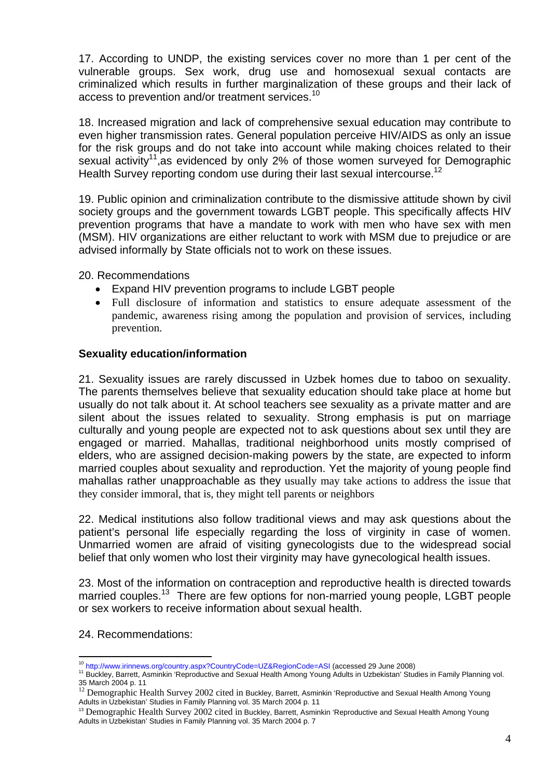17. According to UNDP, the existing services cover no more than 1 per cent of the vulnerable groups. Sex work, drug use and homosexual sexual contacts are criminalized which results in further marginalization of these groups and their lack of access to prevention and/or treatment services.<sup>10</sup>

18. Increased migration and lack of comprehensive sexual education may contribute to even higher transmission rates. General population perceive HIV/AIDS as only an issue for the risk groups and do not take into account while making choices related to their sexual activity<sup>11</sup>, as evidenced by only 2% of those women surveyed for Demographic Health Survey reporting condom use during their last sexual intercourse.<sup>12</sup>

19. Public opinion and criminalization contribute to the dismissive attitude shown by civil society groups and the government towards LGBT people. This specifically affects HIV prevention programs that have a mandate to work with men who have sex with men (MSM). HIV organizations are either reluctant to work with MSM due to prejudice or are advised informally by State officials not to work on these issues.

20. Recommendations

- Expand HIV prevention programs to include LGBT people
- Full disclosure of information and statistics to ensure adequate assessment of the pandemic, awareness rising among the population and provision of services, including prevention.

## **Sexuality education/information**

21. Sexuality issues are rarely discussed in Uzbek homes due to taboo on sexuality. The parents themselves believe that sexuality education should take place at home but usually do not talk about it. At school teachers see sexuality as a private matter and are silent about the issues related to sexuality. Strong emphasis is put on marriage culturally and young people are expected not to ask questions about sex until they are engaged or married. Mahallas, traditional neighborhood units mostly comprised of elders, who are assigned decision-making powers by the state, are expected to inform married couples about sexuality and reproduction. Yet the majority of young people find mahallas rather unapproachable as they usually may take actions to address the issue that they consider immoral, that is, they might tell parents or neighbors

22. Medical institutions also follow traditional views and may ask questions about the patient's personal life especially regarding the loss of virginity in case of women. Unmarried women are afraid of visiting gynecologists due to the widespread social belief that only women who lost their virginity may have gynecological health issues.

23. Most of the information on contraception and reproductive health is directed towards married couples.<sup>13</sup> There are few options for non-married young people, LGBT people or sex workers to receive information about sexual health.

24. Recommendations:

<sup>&</sup>lt;sup>10</sup> http://www.irinnews.org/country.aspx?CountryCode=UZ&RegionCode=ASI (accessed 29 June 2008)

<sup>&</sup>lt;sup>11</sup> Buckley, Barrett, Asminkin 'Reproductive and Sexual Health Among Young Adults in Uzbekistan' Studies in Family Planning vol.

<sup>35</sup> March 2004 p. 11<br><sup>12</sup> Demographic Health Survey 2002 cited in Buckley, Barrett, Asminkin 'Reproductive and Sexual Health Among Young

Adults in Uzbekistan' Studies in Family Planning vol. 35 March 2004 p. 11<br><sup>13</sup> Demographic Health Survey 2002 cited in Buckley, Barrett, Asminkin 'Reproductive and Sexual Health Among Young Adults in Uzbekistan' Studies in Family Planning vol. 35 March 2004 p. 7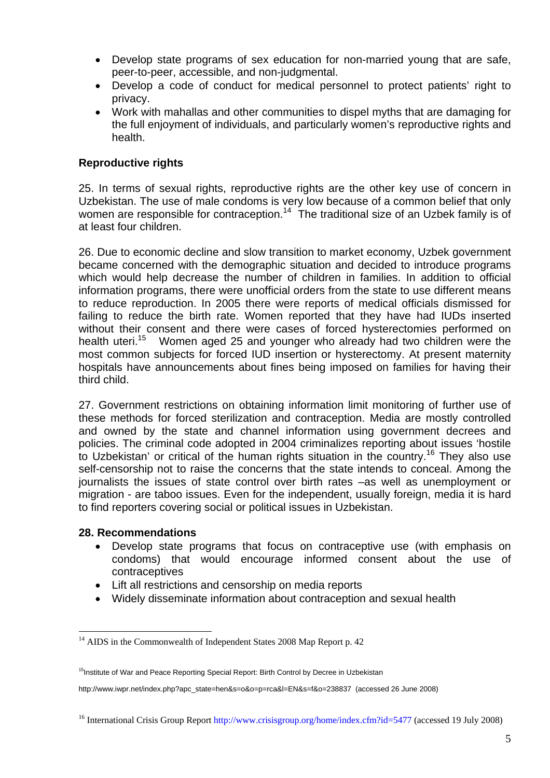- Develop state programs of sex education for non-married young that are safe, peer-to-peer, accessible, and non-judgmental.
- Develop a code of conduct for medical personnel to protect patients' right to privacy.
- Work with mahallas and other communities to dispel myths that are damaging for the full enjoyment of individuals, and particularly women's reproductive rights and health.

### **Reproductive rights**

25. In terms of sexual rights, reproductive rights are the other key use of concern in Uzbekistan. The use of male condoms is very low because of a common belief that only women are responsible for contraception.<sup>14</sup> The traditional size of an Uzbek family is of at least four children.

26. Due to economic decline and slow transition to market economy, Uzbek government became concerned with the demographic situation and decided to introduce programs which would help decrease the number of children in families. In addition to official information programs, there were unofficial orders from the state to use different means to reduce reproduction. In 2005 there were reports of medical officials dismissed for failing to reduce the birth rate. Women reported that they have had IUDs inserted without their consent and there were cases of forced hysterectomies performed on health uteri.<sup>15</sup> Women aged 25 and younger who already had two children were the most common subjects for forced IUD insertion or hysterectomy. At present maternity hospitals have announcements about fines being imposed on families for having their third child.

27. Government restrictions on obtaining information limit monitoring of further use of these methods for forced sterilization and contraception. Media are mostly controlled and owned by the state and channel information using government decrees and policies. The criminal code adopted in 2004 criminalizes reporting about issues 'hostile to Uzbekistan' or critical of the human rights situation in the country.<sup>16</sup> They also use self-censorship not to raise the concerns that the state intends to conceal. Among the journalists the issues of state control over birth rates –as well as unemployment or migration - are taboo issues. Even for the independent, usually foreign, media it is hard to find reporters covering social or political issues in Uzbekistan.

### **28. Recommendations**

 $\overline{a}$ 

- Develop state programs that focus on contraceptive use (with emphasis on condoms) that would encourage informed consent about the use of contraceptives
- Lift all restrictions and censorship on media reports
- Widely disseminate information about contraception and sexual health

<sup>&</sup>lt;sup>14</sup> AIDS in the Commonwealth of Independent States 2008 Map Report p. 42

<sup>&</sup>lt;sup>15</sup>Institute of War and Peace Reporting Special Report: Birth Control by Decree in Uzbekistan

http://www.iwpr.net/index.php?apc\_state=hen&s=o&o=p=rca&l=EN&s=f&o=238837 (accessed 26 June 2008)

<sup>&</sup>lt;sup>16</sup> International Crisis Group Report http://www.crisisgroup.org/home/index.cfm?id=5477 (accessed 19 July 2008)